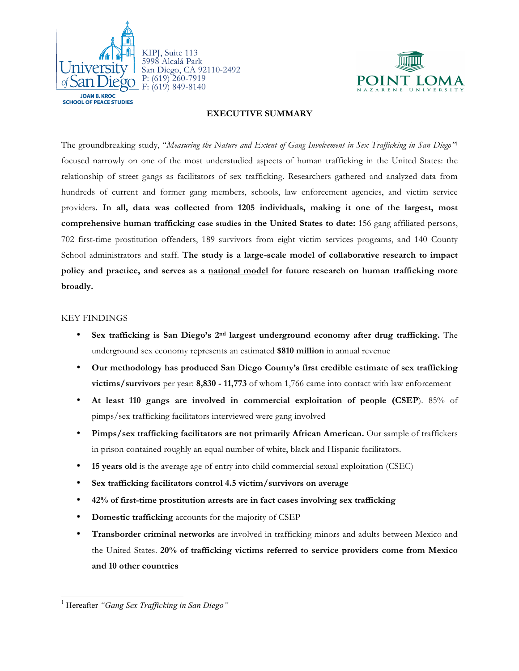



# **EXECUTIVE SUMMARY**

The groundbreaking study, "*Measuring the Nature and Extent of Gang Involvement in Sex Trafficking in San Diego"*<sup>1</sup> focused narrowly on one of the most understudied aspects of human trafficking in the United States: the relationship of street gangs as facilitators of sex trafficking. Researchers gathered and analyzed data from hundreds of current and former gang members, schools, law enforcement agencies, and victim service providers**. In all, data was collected from 1205 individuals, making it one of the largest, most comprehensive human trafficking case studies in the United States to date:** 156 gang affiliated persons, 702 first-time prostitution offenders, 189 survivors from eight victim services programs, and 140 County School administrators and staff. **The study is a large-scale model of collaborative research to impact policy and practice, and serves as a national model for future research on human trafficking more broadly.**

## KEY FINDINGS

- **Sex trafficking is San Diego's 2nd largest underground economy after drug trafficking.** The underground sex economy represents an estimated **\$810 million** in annual revenue
- **Our methodology has produced San Diego County's first credible estimate of sex trafficking victims/survivors** per year: **8,830 - 11,773** of whom 1,766 came into contact with law enforcement
- **At least 110 gangs are involved in commercial exploitation of people (CSEP**). 85% of pimps/sex trafficking facilitators interviewed were gang involved
- **Pimps/sex trafficking facilitators are not primarily African American.** Our sample of traffickers in prison contained roughly an equal number of white, black and Hispanic facilitators.
- **15 years old** is the average age of entry into child commercial sexual exploitation (CSEC)
- **Sex trafficking facilitators control 4.5 victim/survivors on average**
- **42% of first-time prostitution arrests are in fact cases involving sex trafficking**
- **Domestic trafficking** accounts for the majority of CSEP
- **Transborder criminal networks** are involved in trafficking minors and adults between Mexico and the United States. **20% of trafficking victims referred to service providers come from Mexico and 10 other countries**

<sup>1</sup> Hereafter *"Gang Sex Trafficking in San Diego"*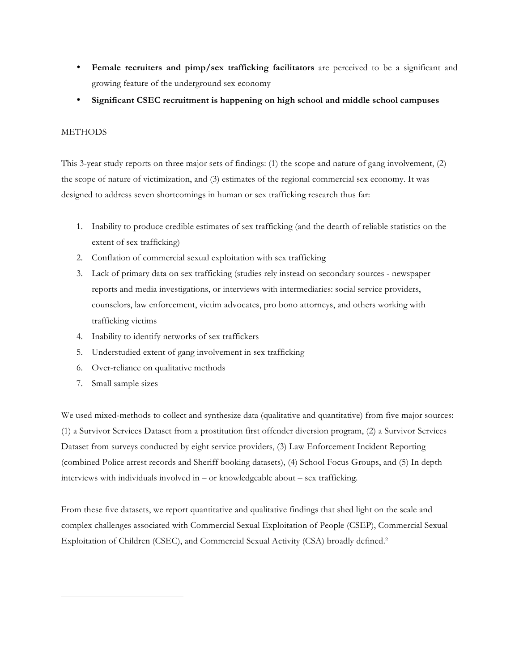- **Female recruiters and pimp/sex trafficking facilitators** are perceived to be a significant and growing feature of the underground sex economy
- **Significant CSEC recruitment is happening on high school and middle school campuses**

# **METHODS**

This 3-year study reports on three major sets of findings: (1) the scope and nature of gang involvement, (2) the scope of nature of victimization, and (3) estimates of the regional commercial sex economy. It was designed to address seven shortcomings in human or sex trafficking research thus far:

- 1. Inability to produce credible estimates of sex trafficking (and the dearth of reliable statistics on the extent of sex trafficking)
- 2. Conflation of commercial sexual exploitation with sex trafficking
- 3. Lack of primary data on sex trafficking (studies rely instead on secondary sources newspaper reports and media investigations, or interviews with intermediaries: social service providers, counselors, law enforcement, victim advocates, pro bono attorneys, and others working with trafficking victims
- 4. Inability to identify networks of sex traffickers
- 5. Understudied extent of gang involvement in sex trafficking
- 6. Over-reliance on qualitative methods
- 7. Small sample sizes

-

We used mixed-methods to collect and synthesize data (qualitative and quantitative) from five major sources: (1) a Survivor Services Dataset from a prostitution first offender diversion program, (2) a Survivor Services Dataset from surveys conducted by eight service providers, (3) Law Enforcement Incident Reporting (combined Police arrest records and Sheriff booking datasets), (4) School Focus Groups, and (5) In depth interviews with individuals involved in – or knowledgeable about – sex trafficking.

From these five datasets, we report quantitative and qualitative findings that shed light on the scale and complex challenges associated with Commercial Sexual Exploitation of People (CSEP), Commercial Sexual Exploitation of Children (CSEC), and Commercial Sexual Activity (CSA) broadly defined.2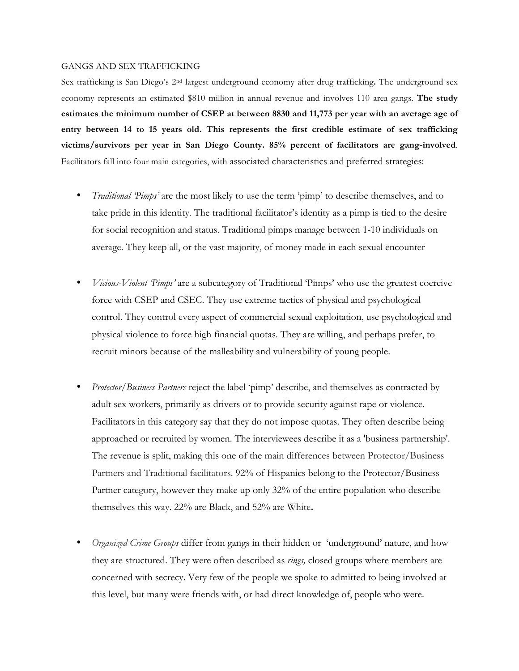#### GANGS AND SEX TRAFFICKING

Sex trafficking is San Diego's 2nd largest underground economy after drug trafficking**.** The underground sex economy represents an estimated \$810 million in annual revenue and involves 110 area gangs. **The study estimates the minimum number of CSEP at between 8830 and 11,773 per year with an average age of entry between 14 to 15 years old. This represents the first credible estimate of sex trafficking victims/survivors per year in San Diego County. 85% percent of facilitators are gang-involved**. Facilitators fall into four main categories, with associated characteristics and preferred strategies:

- *Traditional 'Pimps'* are the most likely to use the term 'pimp' to describe themselves, and to take pride in this identity. The traditional facilitator's identity as a pimp is tied to the desire for social recognition and status. Traditional pimps manage between 1-10 individuals on average. They keep all, or the vast majority, of money made in each sexual encounter
- *Vicious-Violent 'Pimps'* are a subcategory of Traditional 'Pimps' who use the greatest coercive force with CSEP and CSEC. They use extreme tactics of physical and psychological control. They control every aspect of commercial sexual exploitation, use psychological and physical violence to force high financial quotas. They are willing, and perhaps prefer, to recruit minors because of the malleability and vulnerability of young people.
- *Protector/Business Partners* reject the label 'pimp' describe, and themselves as contracted by adult sex workers, primarily as drivers or to provide security against rape or violence. Facilitators in this category say that they do not impose quotas. They often describe being approached or recruited by women. The interviewees describe it as a 'business partnership'. The revenue is split, making this one of the main differences between Protector/Business Partners and Traditional facilitators. 92% of Hispanics belong to the Protector/Business Partner category, however they make up only 32% of the entire population who describe themselves this way. 22% are Black, and 52% are White**.**
- *Organized Crime Groups* differ from gangs in their hidden or 'underground' nature, and how they are structured. They were often described as *rings,* closed groups where members are concerned with secrecy. Very few of the people we spoke to admitted to being involved at this level, but many were friends with, or had direct knowledge of, people who were.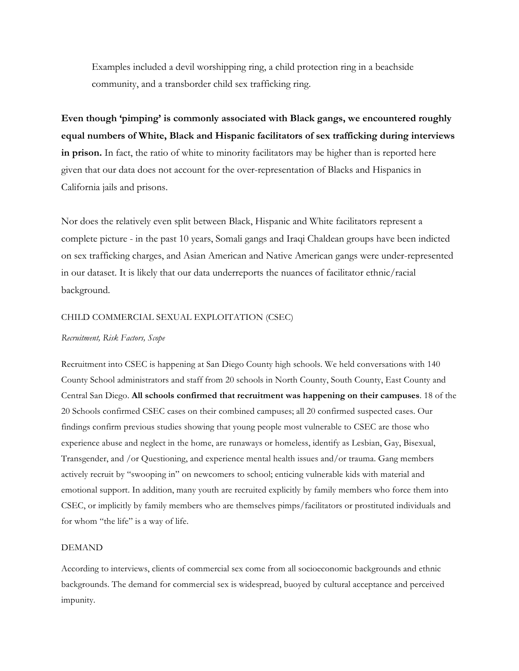Examples included a devil worshipping ring, a child protection ring in a beachside community, and a transborder child sex trafficking ring.

**Even though 'pimping' is commonly associated with Black gangs, we encountered roughly equal numbers of White, Black and Hispanic facilitators of sex trafficking during interviews in prison.** In fact, the ratio of white to minority facilitators may be higher than is reported here given that our data does not account for the over-representation of Blacks and Hispanics in California jails and prisons.

Nor does the relatively even split between Black, Hispanic and White facilitators represent a complete picture - in the past 10 years, Somali gangs and Iraqi Chaldean groups have been indicted on sex trafficking charges, and Asian American and Native American gangs were under-represented in our dataset. It is likely that our data underreports the nuances of facilitator ethnic/racial background.

# CHILD COMMERCIAL SEXUAL EXPLOITATION (CSEC)

#### *Recruitment, Risk Factors, Scope*

Recruitment into CSEC is happening at San Diego County high schools. We held conversations with 140 County School administrators and staff from 20 schools in North County, South County, East County and Central San Diego. **All schools confirmed that recruitment was happening on their campuses**. 18 of the 20 Schools confirmed CSEC cases on their combined campuses; all 20 confirmed suspected cases. Our findings confirm previous studies showing that young people most vulnerable to CSEC are those who experience abuse and neglect in the home, are runaways or homeless, identify as Lesbian, Gay, Bisexual, Transgender, and /or Questioning, and experience mental health issues and/or trauma. Gang members actively recruit by "swooping in" on newcomers to school; enticing vulnerable kids with material and emotional support. In addition, many youth are recruited explicitly by family members who force them into CSEC, or implicitly by family members who are themselves pimps/facilitators or prostituted individuals and for whom "the life" is a way of life.

## DEMAND

According to interviews, clients of commercial sex come from all socioeconomic backgrounds and ethnic backgrounds. The demand for commercial sex is widespread, buoyed by cultural acceptance and perceived impunity.